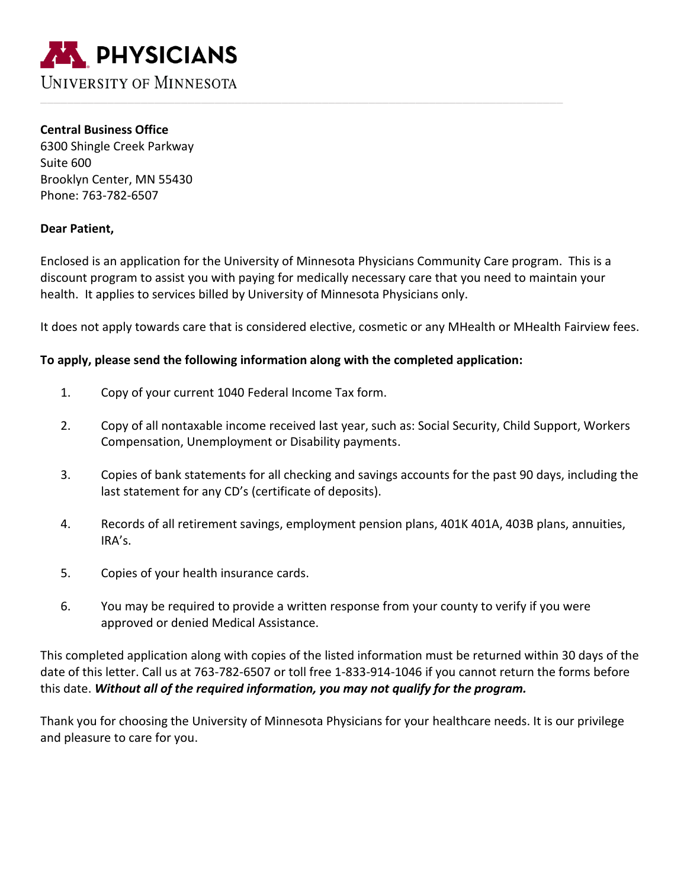

**Central Business Office** 6300 Shingle Creek Parkway Suite 600 Brooklyn Center, MN 55430 Phone: 763-782-6507

## **Dear Patient,**

Enclosed is an application for the University of Minnesota Physicians Community Care program. This is a discount program to assist you with paying for medically necessary care that you need to maintain your health. It applies to services billed by University of Minnesota Physicians only.

It does not apply towards care that is considered elective, cosmetic or any MHealth or MHealth Fairview fees.

## **To apply, please send the following information along with the completed application:**

- 1. Copy of your current 1040 Federal Income Tax form.
- 2. Copy of all nontaxable income received last year, such as: Social Security, Child Support, Workers Compensation, Unemployment or Disability payments.
- 3. Copies of bank statements for all checking and savings accounts for the past 90 days, including the last statement for any CD's (certificate of deposits).
- 4. Records of all retirement savings, employment pension plans, 401K 401A, 403B plans, annuities, IRA's.
- 5. Copies of your health insurance cards.
- 6. You may be required to provide a written response from your county to verify if you were approved or denied Medical Assistance.

This completed application along with copies of the listed information must be returned within 30 days of the date of this letter. Call us at 763-782-6507 or toll free 1-833-914-1046 if you cannot return the forms before this date. *Without all of the required information, you may not qualify for the program.*

Thank you for choosing the University of Minnesota Physicians for your healthcare needs. It is our privilege and pleasure to care for you.